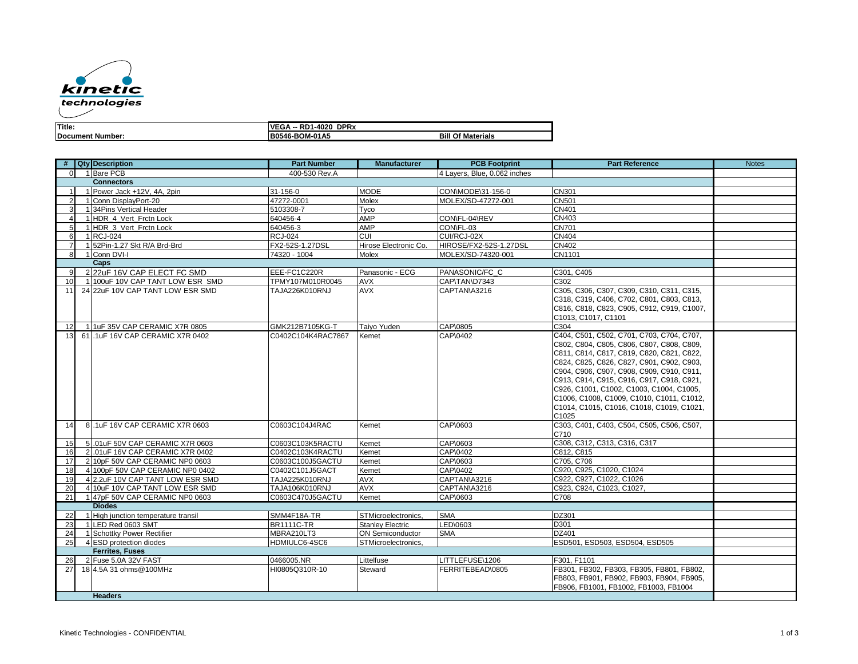

| Title.                  | <b>DPR</b><br>VF<br>nn<br>1-4020<br>וכי<br>יי |                      |  |
|-------------------------|-----------------------------------------------|----------------------|--|
| <b>Document Number:</b> | B0546-BOM-01A5                                | Bill<br>∩f Materials |  |

|                        |  | # Qty Description                   | <b>Part Number</b> | <b>Manufacturer</b>     | <b>PCB Footprint</b>         | <b>Part Reference</b>                      | <b>Notes</b> |
|------------------------|--|-------------------------------------|--------------------|-------------------------|------------------------------|--------------------------------------------|--------------|
| $\Omega$               |  | 1 Bare PCB                          | 400-530 Rev.A      |                         | 4 Layers, Blue, 0.062 inches |                                            |              |
| <b>Connectors</b>      |  |                                     |                    |                         |                              |                                            |              |
|                        |  | 1 Power Jack +12V, 4A, 2pin         | 31-156-0           | <b>MODE</b>             | CON\MODE\31-156-0            | <b>CN301</b>                               |              |
| $\overline{2}$         |  | 1 Conn DisplayPort-20               | 47272-0001         | Molex                   | MOLEX/SD-47272-001           | <b>CN501</b>                               |              |
| 3                      |  | 1 34 Pins Vertical Header           | 5103308-7          | Tvco                    |                              | CN401                                      |              |
| $\overline{4}$         |  | 1 HDR 4 Vert Frctn Lock             | 640456-4           | <b>AMP</b>              | CON\FL-04\REV                | CN403                                      |              |
| 5                      |  | 1 HDR_3_Vert_Frctn Lock             | 640456-3           | AMP                     | CON\FL-03                    | <b>CN701</b>                               |              |
| 6                      |  | 1 RCJ-024                           | <b>RCJ-024</b>     | CUI                     | CUI/RCJ-02X                  | <b>CN404</b>                               |              |
| $\overline{7}$         |  | 1 52Pin-1.27 Skt R/A Brd-Brd        | FX2-52S-1.27DSL    | Hirose Electronic Co.   | HIROSE/FX2-52S-1.27DSL       | <b>CN402</b>                               |              |
| 8                      |  | 1 Conn DVI-I                        | 74320 - 1004       | Molex                   | MOLEX/SD-74320-001           | CN1101                                     |              |
|                        |  | Caps                                |                    |                         |                              |                                            |              |
| 9                      |  | 2 22uF 16V CAP ELECT FC SMD         | EEE-FC1C220R       | Panasonic - ECG         | PANASONIC/FC C               | C301, C405                                 |              |
| 10                     |  | 1 100 F 10V CAP TANT LOW ESR SMD    | TPMY107M010R0045   | <b>AVX</b>              | CAP\TAN\D7343                | C302                                       |              |
| 11                     |  | 24 22uF 10V CAP TANT LOW ESR SMD    | TAJA226K010RNJ     | <b>AVX</b>              | CAPTAN\A3216                 | C305, C306, C307, C309, C310, C311, C315,  |              |
|                        |  |                                     |                    |                         |                              | C318, C319, C406, C702, C801, C803, C813,  |              |
|                        |  |                                     |                    |                         |                              | C816, C818, C823, C905, C912, C919, C1007, |              |
|                        |  |                                     |                    |                         |                              | C1013, C1017, C1101                        |              |
| 12 <sup>1</sup>        |  | 1 1uF 35V CAP CERAMIC X7R 0805      | GMK212B7105KG-T    | Taiyo Yuden             | CAP\0805                     | C304                                       |              |
| 13 <sub>l</sub>        |  | 61.1uF 16V CAP CERAMIC X7R 0402     | C0402C104K4RAC7867 | Kemet                   | CAP\0402                     | C404, C501, C502, C701, C703, C704, C707,  |              |
|                        |  |                                     |                    |                         |                              | C802, C804, C805, C806, C807, C808, C809,  |              |
|                        |  |                                     |                    |                         |                              | C811, C814, C817, C819, C820, C821, C822,  |              |
|                        |  |                                     |                    |                         |                              | C824, C825, C826, C827, C901, C902, C903,  |              |
|                        |  |                                     |                    |                         |                              | C904, C906, C907, C908, C909, C910, C911,  |              |
|                        |  |                                     |                    |                         |                              | C913, C914, C915, C916, C917, C918, C921,  |              |
|                        |  |                                     |                    |                         |                              | C926, C1001, C1002, C1003, C1004, C1005,   |              |
|                        |  |                                     |                    |                         |                              | C1006, C1008, C1009, C1010, C1011, C1012,  |              |
|                        |  |                                     |                    |                         |                              | C1014, C1015, C1016, C1018, C1019, C1021,  |              |
|                        |  |                                     |                    |                         |                              | C1025                                      |              |
| 14                     |  | 8.1uF 16V CAP CERAMIC X7R 0603      | C0603C104J4RAC     | Kemet                   | CAP\0603                     | C303, C401, C403, C504, C505, C506, C507,  |              |
|                        |  |                                     |                    |                         |                              | C710                                       |              |
| 15                     |  | 5 .01 uF 50V CAP CERAMIC X7R 0603   | C0603C103K5RACTU   | Kemet                   | CAP\0603                     | C308, C312, C313, C316, C317               |              |
| 16                     |  | 2.01 UF 16V CAP CERAMIC X7R 0402    | C0402C103K4RACTU   | Kemet                   | CAP\0402                     | C812, C815                                 |              |
| 17                     |  | 2 10pF 50V CAP CERAMIC NP0 0603     | C0603C100J5GACTU   | Kemet                   | CAP\0603                     | C705, C706                                 |              |
| 18                     |  | 4 100pF 50V CAP CERAMIC NP0 0402    | C0402C101J5GACT    | Kemet                   | CAP\0402                     | C920, C925, C1020, C1024                   |              |
| 19                     |  | 4 2.2 JF 10V CAP TANT LOW ESR SMD   | TAJA225K010RNJ     | <b>AVX</b>              | CAPTAN\A3216                 | C922, C927, C1022, C1026                   |              |
| <b>20</b>              |  | 4 10uF 10V CAP TANT LOW ESR SMD     | TAJA106K010RNJ     | AVX                     | CAPTAN\A3216                 | C923, C924, C1023, C1027,                  |              |
| 21                     |  | 1 47pF 50V CAP CERAMIC NP0 0603     | C0603C470J5GACTU   | Kemet                   | CAP\0603                     | C708                                       |              |
|                        |  | <b>Diodes</b>                       |                    |                         |                              |                                            |              |
| 22                     |  | 1 High junction temperature transil | SMM4F18A-TR        | STMicroelectronics,     | <b>SMA</b>                   | DZ301                                      |              |
| 23                     |  | 1 LED Red 0603 SMT                  | <b>BR1111C-TR</b>  | <b>Stanley Electric</b> | LED\0603                     | D301                                       |              |
| 24                     |  | 1 Schottky Power Rectifier          | MBRA210LT3         | <b>ON Semiconductor</b> | <b>SMA</b>                   | DZ401                                      |              |
| 25                     |  | 4 ESD protection diodes             | HDMIULC6-4SC6      | STMicroelectronics,     |                              | ESD501, ESD503, ESD504, ESD505             |              |
| <b>Ferrites, Fuses</b> |  |                                     |                    |                         |                              |                                            |              |
| 26                     |  | 2 Fuse 5.0A 32V FAST                | 0466005.NR         | Littelfuse              | LITTLEFUSE\1206              | F301. F1101                                |              |
| 27                     |  | 18 4.5A 31 ohms@100MHz              | HI0805Q310R-10     | Steward                 | FERRITEBEAD\0805             | FB301, FB302, FB303, FB305, FB801, FB802,  |              |
|                        |  |                                     |                    |                         |                              | FB803, FB901, FB902, FB903, FB904, FB905,  |              |
|                        |  |                                     |                    |                         |                              | FB906, FB1001, FB1002, FB1003, FB1004      |              |
|                        |  | <b>Headers</b>                      |                    |                         |                              |                                            |              |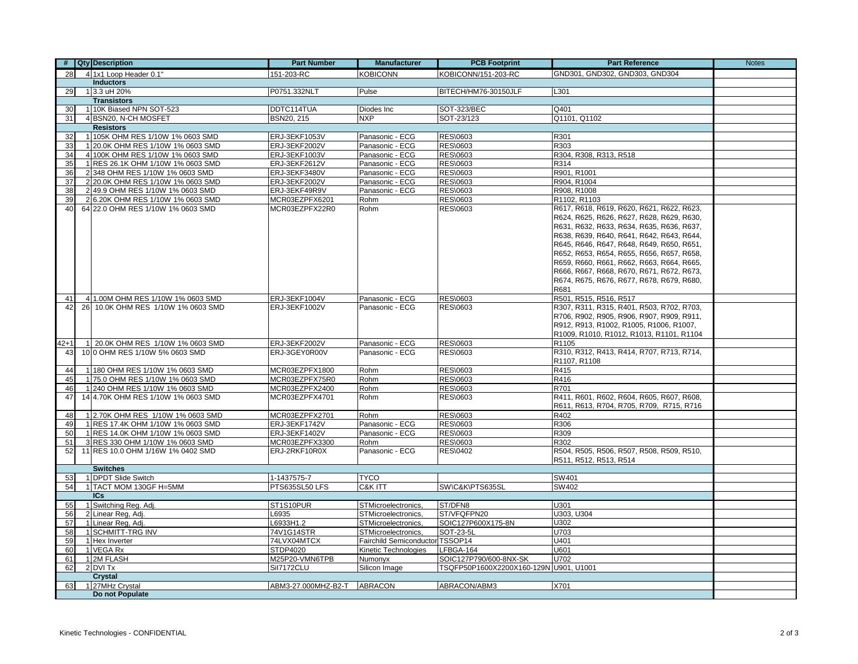|          | # Qty Description                  | <b>Part Number</b>   | <b>Manufacturer</b>           | <b>PCB Footprint</b>                   | <b>Part Reference</b>                                                                  | <b>Notes</b> |
|----------|------------------------------------|----------------------|-------------------------------|----------------------------------------|----------------------------------------------------------------------------------------|--------------|
| 28       | 4 1x1 Loop Header 0.1"             | 151-203-RC           | <b>KOBICONN</b>               | KOBICONN/151-203-RC                    | GND301, GND302, GND303, GND304                                                         |              |
|          | <b>Inductors</b>                   |                      |                               |                                        |                                                                                        |              |
| 29       | 1 3.3 uH 20%                       | P0751.332NLT         | Pulse                         | BITECH/HM76-30150JLF                   | L301                                                                                   |              |
|          | <b>Transistors</b>                 |                      |                               |                                        |                                                                                        |              |
| 30       | 1 10K Biased NPN SOT-523           | DDTC114TUA           | Diodes Inc                    | <b>SOT-323/BEC</b>                     | Q401                                                                                   |              |
| 31       | 4 BSN20, N-CH MOSFET               | BSN20, 215           | <b>NXP</b>                    | SOT-23/123                             | Q1101, Q1102                                                                           |              |
|          | <b>Resistors</b>                   |                      |                               |                                        |                                                                                        |              |
| 32       | 1 105K OHM RES 1/10W 1% 0603 SMD   | ERJ-3EKF1053V        | Panasonic - ECG               | <b>RES\0603</b>                        | R301                                                                                   |              |
| 33       | 1 20.0K OHM RES 1/10W 1% 0603 SMD  | ERJ-3EKF2002V        | Panasonic - ECG               | RES\0603                               | R303                                                                                   |              |
| 34       | 4 100K OHM RES 1/10W 1% 0603 SMD   | ERJ-3EKF1003V        | Panasonic - ECG               | <b>RES\0603</b>                        | R304, R308, R313, R518                                                                 |              |
| 35       | 1 RES 26.1K OHM 1/10W 1% 0603 SMD  | ERJ-3EKF2612V        | Panasonic - ECG               | <b>RES\0603</b>                        | R314                                                                                   |              |
| 36       | 2 348 OHM RES 1/10W 1% 0603 SMD    | ERJ-3EKF3480V        | Panasonic - ECG               | RES\0603                               | R901, R1001                                                                            |              |
| 37       | 2 20.0K OHM RES 1/10W 1% 0603 SMD  | ERJ-3EKF2002V        | Panasonic - ECG               | <b>RES\0603</b>                        | R904, R1004                                                                            |              |
| 38       | 2 49.9 OHM RES 1/10W 1% 0603 SMD   | ERJ-3EKF49R9V        | Panasonic - ECG               | RES\0603                               | R908, R1008                                                                            |              |
| 39       | 2 6.20K OHM RES 1/10W 1% 0603 SMD  | MCR03EZPFX6201       | Rohm                          | <b>RES\0603</b>                        | R1102, R1103                                                                           |              |
| 40       | 64 22.0 OHM RES 1/10W 1% 0603 SMD  | MCR03EZPFX22R0       | Rohm                          | RES\0603                               | R617, R618, R619, R620, R621, R622, R623,                                              |              |
|          |                                    |                      |                               |                                        | R624, R625, R626, R627, R628, R629, R630,                                              |              |
|          |                                    |                      |                               |                                        | R631, R632, R633, R634, R635, R636, R637,                                              |              |
|          |                                    |                      |                               |                                        | R638, R639, R640, R641, R642, R643, R644,                                              |              |
|          |                                    |                      |                               |                                        | R645, R646, R647, R648, R649, R650, R651,                                              |              |
|          |                                    |                      |                               |                                        | R652, R653, R654, R655, R656, R657, R658,<br>R659, R660, R661, R662, R663, R664, R665, |              |
|          |                                    |                      |                               |                                        | R666, R667, R668, R670, R671, R672, R673,                                              |              |
|          |                                    |                      |                               |                                        | R674, R675, R676, R677, R678, R679, R680,                                              |              |
|          |                                    |                      |                               |                                        | R681                                                                                   |              |
| 41       | 4 1.00M OHM RES 1/10W 1% 0603 SMD  | ERJ-3EKF1004V        | Panasonic - ECG               | <b>RES\0603</b>                        | R501, R515, R516, R517                                                                 |              |
| 42       | 26 10.0K OHM RES 1/10W 1% 0603 SMD | ERJ-3EKF1002V        | Panasonic - ECG               | RES\0603                               | R307, R311, R315, R401, R503, R702, R703,                                              |              |
|          |                                    |                      |                               |                                        | R706, R902, R905, R906, R907, R909, R911,                                              |              |
|          |                                    |                      |                               |                                        | R912, R913, R1002, R1005, R1006, R1007,                                                |              |
|          |                                    |                      |                               |                                        | R1009, R1010, R1012, R1013, R1101, R1104                                               |              |
| 42+1     | 1 20.0K OHM RES 1/10W 1% 0603 SMD  | <b>ERJ-3EKF2002V</b> | Panasonic - ECG               | RES\0603                               | R1105                                                                                  |              |
| 43       | 10 0 OHM RES 1/10W 5% 0603 SMD     | ERJ-3GEY0R00V        | Panasonic - ECG               | RES\0603                               | R310, R312, R413, R414, R707, R713, R714,                                              |              |
|          |                                    |                      |                               |                                        | R1107, R1108                                                                           |              |
| 44       | 1 180 OHM RES 1/10W 1% 0603 SMD    | MCR03EZPFX1800       | Rohm                          | <b>RES\0603</b>                        | R415                                                                                   |              |
| 45       | 1 75.0 OHM RES 1/10W 1% 0603 SMD   | MCR03EZPFX75R0       | Rohm                          | RES\0603                               | R416                                                                                   |              |
| 46       | 1 240 OHM RES 1/10W 1% 0603 SMD    | MCR03EZPFX2400       | Rohm                          | <b>RES\0603</b>                        | R701                                                                                   |              |
| 47       | 14 4.70K OHM RES 1/10W 1% 0603 SMD | MCR03EZPFX4701       | Rohm                          | RES\0603                               | R411, R601, R602, R604, R605, R607, R608,                                              |              |
|          |                                    |                      |                               |                                        | R611, R613, R704, R705, R709, R715, R716                                               |              |
| 48       | 1 2.70K OHM RES 1/10W 1% 0603 SMD  | MCR03EZPFX2701       | Rohm                          | <b>RES\0603</b>                        | R402                                                                                   |              |
| 49       | 1 RES 17.4K OHM 1/10W 1% 0603 SMD  | ERJ-3EKF1742V        | Panasonic - ECG               | <b>RES\0603</b>                        | R306                                                                                   |              |
| 50       | 1 RES 14.0K OHM 1/10W 1% 0603 SMD  | ERJ-3EKF1402V        | Panasonic - ECG               | <b>RES\0603</b>                        | R309                                                                                   |              |
| 51       | 3 RES 330 OHM 1/10W 1% 0603 SMD    | MCR03EZPFX3300       | Rohm                          | <b>RES\0603</b>                        | R302                                                                                   |              |
| 52       | 11 RES 10.0 OHM 1/16W 1% 0402 SMD  | ERJ-2RKF10R0X        | Panasonic - ECG               | RES\0402                               | R504, R505, R506, R507, R508, R509, R510,                                              |              |
|          |                                    |                      |                               |                                        | R511, R512, R513, R514                                                                 |              |
|          | <b>Switches</b>                    |                      |                               |                                        |                                                                                        |              |
| 53       | 1 DPDT Slide Switch                | 1-1437575-7          | <b>TYCO</b>                   |                                        | SW401                                                                                  |              |
| 54       | 1 TACT MOM 130GF H=5MM             | PTS635SL50 LFS       | C&K ITT                       | SW\C&K\PTS635SL                        | SW402                                                                                  |              |
|          | ICs                                |                      |                               |                                        |                                                                                        |              |
| 55       | 1 Switching Reg. Adj.              | ST1S10PUR            | STMicroelectronics.           | ST/DFN8                                | U301                                                                                   |              |
| 56       | 2 Linear Reg. Adi.                 | L6935                | <b>STMicroelectronics.</b>    | ST/VFQFPN20                            | U303. U304                                                                             |              |
| 57       | 1 Linear Reg, Adj.                 | L6933H1.2            | STMicroelectronics,           | SOIC127P600X175-8N                     | U302                                                                                   |              |
| 58       | 1 SCHMITT-TRG INV                  | 74V1G14STR           | STMicroelectronics,           | SOT-23-5L                              | U703                                                                                   |              |
| 59       | 1 Hex Inverter                     | 74LVX04MTCX          | <b>Fairchild Semiconducto</b> | TSSOP14                                | U401                                                                                   |              |
| 60       | 1 VEGA Rx                          | STDP4020             | Kinetic Technologies          | LFBGA-164                              | U601                                                                                   |              |
| 61<br>62 | 1 2M FLASH                         | M25P20-VMN6TPB       | Numonyx                       | SOIC127P790/600-8NX-SK                 | U702                                                                                   |              |
|          | 2 DVI Tx<br><b>Crystal</b>         | Sil7172CLU           | Silicon Image                 | TSQFP50P1600X2200X160-129N U901, U1001 |                                                                                        |              |
|          | 1 27MHz Crystal                    | ABM3-27.000MHZ-B2-T  | <b>ABRACON</b>                | ABRACON/ABM3                           | X701                                                                                   |              |
| 63       | Do not Populate                    |                      |                               |                                        |                                                                                        |              |
|          |                                    |                      |                               |                                        |                                                                                        |              |